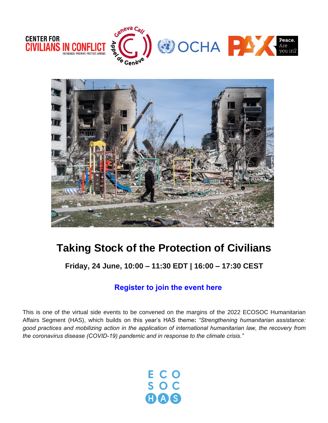



# **Taking Stock of the Protection of Civilians**

**Friday, 24 June, 10:00 – 11:30 EDT | 16:00 – 17:30 CEST**

# **[Register to join the event here](https://teams.microsoft.com/registration/2zWeD09UYE-9zF6kFubccA,_BtX0Ba3uEWYaCx3AhFF_g,G-z_FZpankO0Dd73JHyEWw,ih9RCpFTMEi8hDEcjhBl4A,yaWk78GsN0C24XUUKr7Ncg,uEIlGhEOE0y_GFkpXWjVww?mode=read&tenantId=0f9e35db-544f-4f60-bdcc-5ea416e6dc70)**

This is one of the virtual side events to be convened on the margins of the 2022 ECOSOC Humanitarian Affairs Segment (HAS), which builds on this year's HAS theme**:** *"Strengthening humanitarian assistance: good practices and mobilizing action in the application of international humanitarian law, the recovery from the coronavirus disease (COVID-19) pandemic and in response to the climate crisis."*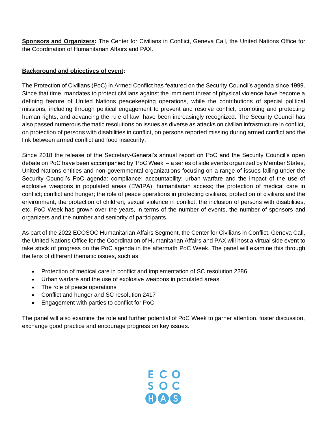**Sponsors and Organizers:** The Center for Civilians in Conflict, Geneva Call, the United Nations Office for the Coordination of Humanitarian Affairs and PAX.

# **Background and objectives of event:**

The Protection of Civilians (PoC) in Armed Conflict has featured on the Security Council's agenda since 1999. Since that time, mandates to protect civilians against the imminent threat of physical violence have become a defining feature of United Nations peacekeeping operations, while the contributions of special political missions, including through political engagement to prevent and resolve conflict, promoting and protecting human rights, and advancing the rule of law, have been increasingly recognized. The Security Council has also passed numerous thematic resolutions on issues as diverse as attacks on civilian infrastructure in conflict, on protection of persons with disabilities in conflict, on persons reported missing during armed conflict and the link between armed conflict and food insecurity.

Since 2018 the release of the Secretary-General's annual report on PoC and the Security Council's open debate on PoC have been accompanied by 'PoC Week' – a series of side events organized by Member States, United Nations entities and non-governmental organizations focusing on a range of issues falling under the Security Council's PoC agenda: compliance; accountability; urban warfare and the impact of the use of explosive weapons in populated areas (EWIPA); humanitarian access; the protection of medical care in conflict; conflict and hunger; the role of peace operations in protecting civilians, protection of civilians and the environment; the protection of children; sexual violence in conflict; the inclusion of persons with disabilities; etc. PoC Week has grown over the years, in terms of the number of events, the number of sponsors and organizers and the number and seniority of participants.

As part of the 2022 ECOSOC Humanitarian Affairs Segment, the Center for Civilians in Conflict, Geneva Call, the United Nations Office for the Coordination of Humanitarian Affairs and PAX will host a virtual side event to take stock of progress on the PoC agenda in the aftermath PoC Week. The panel will examine this through the lens of different thematic issues, such as:

- Protection of medical care in conflict and implementation of SC resolution 2286
- Urban warfare and the use of explosive weapons in populated areas
- The role of peace operations
- Conflict and hunger and SC resolution 2417
- Engagement with parties to conflict for PoC

The panel will also examine the role and further potential of PoC Week to garner attention, foster discussion, exchange good practice and encourage progress on key issues.

ECO<br>SOC<br>COOS